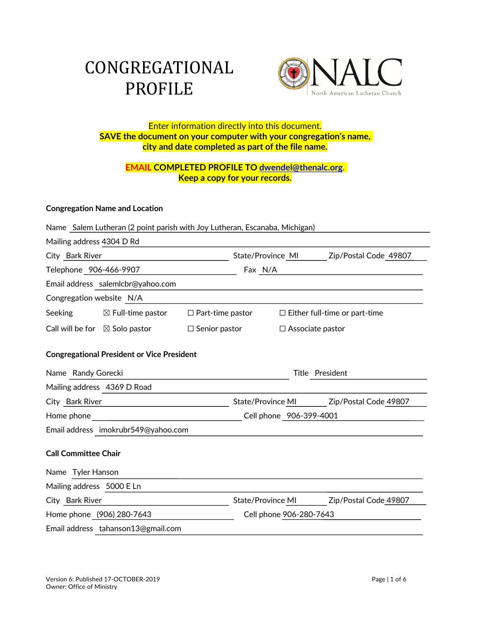# CONGREGATIONAL PROFILE



# Enter information directly into this document. **SAVE the document on your computer with your congregation's name, city and date completed as part of the file name.**

# **EMAIL COMPLETED PROFILE TO dwendel@thenalc.org**. **Keep a copy for your records.**

# **Congregation Name and Location**

|                                                   | Name Salem Lutheran (2 point parish with Joy Lutheran, Escanaba, Michigan) |                         |                          |                         |                                      |  |  |  |
|---------------------------------------------------|----------------------------------------------------------------------------|-------------------------|--------------------------|-------------------------|--------------------------------------|--|--|--|
| Mailing address 4304 D Rd                         |                                                                            |                         |                          |                         |                                      |  |  |  |
| City Bark River                                   |                                                                            |                         | State/Province MI        |                         | Zip/Postal Code 49807                |  |  |  |
| Telephone 906-466-9907                            |                                                                            |                         | Fax N/A                  |                         |                                      |  |  |  |
|                                                   | Email address salemIcbr@yahoo.com                                          |                         |                          |                         |                                      |  |  |  |
| Congregation website N/A                          |                                                                            |                         |                          |                         |                                      |  |  |  |
| Seeking                                           | $\boxtimes$ Full-time pastor                                               | $\Box$ Part-time pastor |                          |                         | $\Box$ Either full-time or part-time |  |  |  |
| Call will be for $\boxtimes$ Solo pastor          |                                                                            | $\Box$ Senior pastor    |                          | $\Box$ Associate pastor |                                      |  |  |  |
| <b>Congregational President or Vice President</b> |                                                                            |                         |                          |                         |                                      |  |  |  |
| Name Randy Gorecki                                |                                                                            |                         | Title President          |                         |                                      |  |  |  |
| Mailing address 4369 D Road                       |                                                                            |                         |                          |                         |                                      |  |  |  |
| City Bark River                                   |                                                                            |                         | State/Province MI        |                         | Zip/Postal Code 49807                |  |  |  |
| Home phone                                        |                                                                            |                         | Cell phone 906-399-4001  |                         |                                      |  |  |  |
|                                                   | Email address imokrubr549@yahoo.com                                        |                         |                          |                         |                                      |  |  |  |
| <b>Call Committee Chair</b>                       |                                                                            |                         |                          |                         |                                      |  |  |  |
| Name Tyler Hanson                                 |                                                                            |                         |                          |                         |                                      |  |  |  |
| Mailing address 5000 E Ln                         |                                                                            |                         |                          |                         |                                      |  |  |  |
| City Bark River                                   |                                                                            |                         | <b>State/Province MI</b> |                         | Zip/Postal Code 49807                |  |  |  |
| Home phone (906) 280-7643                         |                                                                            |                         | Cell phone 906-280-7643  |                         |                                      |  |  |  |
|                                                   | Email address tahanson13@gmail.com                                         |                         |                          |                         |                                      |  |  |  |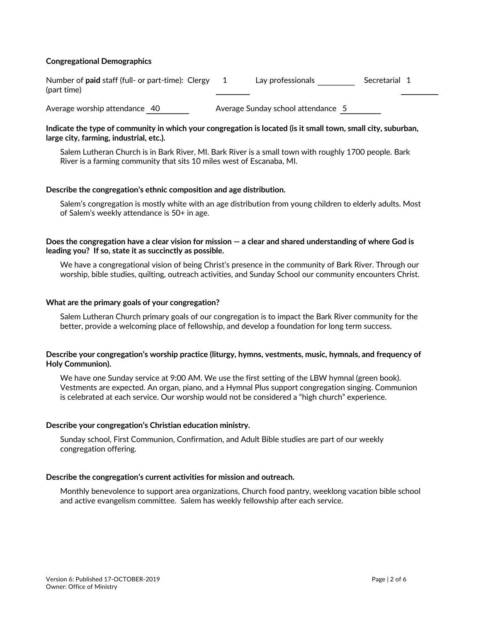#### **Congregational Demographics**

| Number of paid staff (full- or part-time): Clergy | Lav professionals | Secretarial 1 |
|---------------------------------------------------|-------------------|---------------|
| (part time)                                       |                   |               |
|                                                   |                   |               |

Average worship attendance 40 Average Sunday school attendance 5

### **Indicate the type of community in which your congregation is located (is it small town, small city, suburban, large city, farming, industrial, etc.).**

Salem Lutheran Church is in Bark River, MI. Bark River is a small town with roughly 1700 people. Bark River is a farming community that sits 10 miles west of Escanaba, MI.

### **Describe the congregation's ethnic composition and age distribution.**

Salem's congregation is mostly white with an age distribution from young children to elderly adults. Most of Salem's weekly attendance is 50+ in age.

# **Does the congregation have a clear vision for mission — a clear and shared understanding of where God is leading you? If so, state it as succinctly as possible.**

We have a congregational vision of being Christ's presence in the community of Bark River. Through our worship, bible studies, quilting, outreach activities, and Sunday School our community encounters Christ.

### **What are the primary goals of your congregation?**

Salem Lutheran Church primary goals of our congregation is to impact the Bark River community for the better, provide a welcoming place of fellowship, and develop a foundation for long term success.

### **Describe your congregation's worship practice (liturgy, hymns, vestments, music, hymnals, and frequency of Holy Communion).**

We have one Sunday service at 9:00 AM. We use the first setting of the LBW hymnal (green book). Vestments are expected. An organ, piano, and a Hymnal Plus support congregation singing. Communion is celebrated at each service. Our worship would not be considered a "high church" experience.

# **Describe your congregation's Christian education ministry.**

Sunday school, First Communion, Confirmation, and Adult Bible studies are part of our weekly congregation offering.

# **Describe the congregation's current activities for mission and outreach.**

Monthly benevolence to support area organizations, Church food pantry, weeklong vacation bible school and active evangelism committee. Salem has weekly fellowship after each service.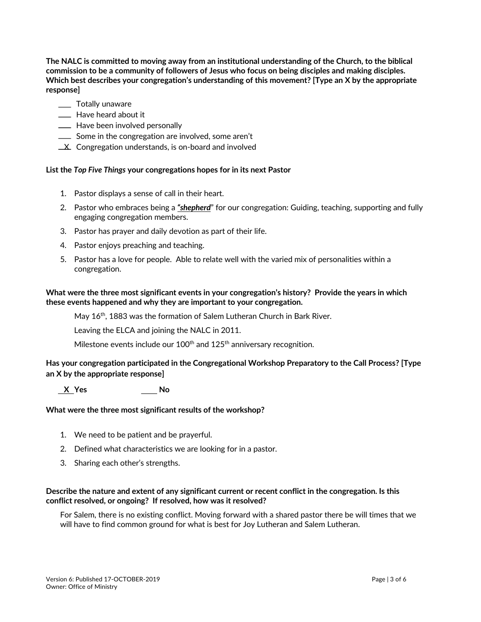**The NALC is committed to moving away from an institutional understanding of the Church, to the biblical commission to be a community of followers of Jesus who focus on being disciples and making disciples. Which best describes your congregation's understanding of this movement? [Type an X by the appropriate response]**

- \_\_ Totally unaware
- **Example 20** Have heard about it
- **EXECUTE:** Have been involved personally
- Some in the congregation are involved, some aren't
- **X** Congregation understands, is on-board and involved

### **List the** *Top Five Things* **your congregations hopes for in its next Pastor**

- 1. Pastor displays a sense of call in their heart.
- 2. Pastor who embraces being a *"shepherd*" for our congregation: Guiding, teaching, supporting and fully engaging congregation members.
- 3. Pastor has prayer and daily devotion as part of their life.
- 4. Pastor enjoys preaching and teaching.
- 5. Pastor has a love for people. Able to relate well with the varied mix of personalities within a congregation.

# **What were the three most significant events in your congregation's history? Provide the years in which these events happened and why they are important to your congregation.**

May  $16<sup>th</sup>$ , 1883 was the formation of Salem Lutheran Church in Bark River.

Leaving the ELCA and joining the NALC in 2011.

Milestone events include our  $100<sup>th</sup>$  and  $125<sup>th</sup>$  anniversary recognition.

# **Has your congregation participated in the Congregational Workshop Preparatory to the Call Process? [Type an X by the appropriate response]**

 **X Yes No**

# **What were the three most significant results of the workshop?**

- 1. We need to be patient and be prayerful.
- 2. Defined what characteristics we are looking for in a pastor.
- 3. Sharing each other's strengths.

#### **Describe the nature and extent of any significant current or recent conflict in the congregation. Is this conflict resolved, or ongoing? If resolved, how was it resolved?**

For Salem, there is no existing conflict. Moving forward with a shared pastor there be will times that we will have to find common ground for what is best for Joy Lutheran and Salem Lutheran.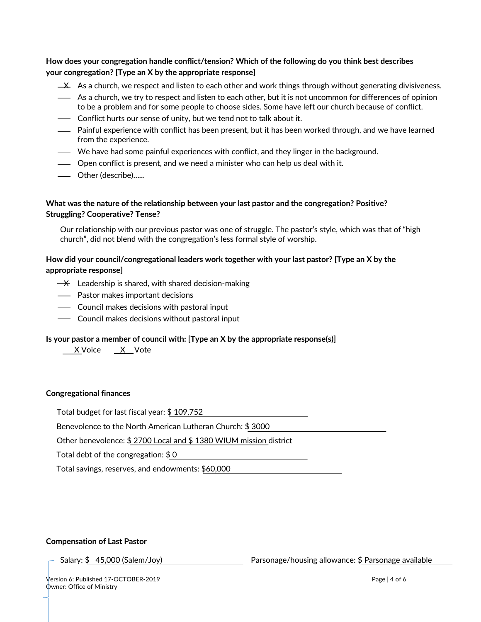# **How does your congregation handle conflict/tension? Which of the following do you think best describes your congregation? [Type an X by the appropriate response]**

- $\pm \lambda$  As a church, we respect and listen to each other and work things through without generating divisiveness.
- As a church, we try to respect and listen to each other, but it is not uncommon for differences of opinion to be a problem and for some people to choose sides. Some have left our church because of conflict.
- Conflict hurts our sense of unity, but we tend not to talk about it.
- Painful experience with conflict has been present, but it has been worked through, and we have learned from the experience.
- We have had some painful experiences with conflict, and they linger in the background.
- Open conflict is present, and we need a minister who can help us deal with it.
- Other (describe)…...

# **What was the nature of the relationship between your last pastor and the congregation? Positive? Struggling? Cooperative? Tense?**

Our relationship with our previous pastor was one of struggle. The pastor's style, which was that of "high church", did not blend with the congregation's less formal style of worship.

# **How did your council/congregational leaders work together with your last pastor? [Type an X by the appropriate response]**

- $\rightarrow$  Leadership is shared, with shared decision-making
- Pastor makes important decisions
- Council makes decisions with pastoral input
- Council makes decisions without pastoral input

#### **Is your pastor a member of council with: [Type an X by the appropriate response(s)]**

X Voice X Vote

#### **Congregational finances**

Total budget for last fiscal year: \$ 109,752

Benevolence to the North American Lutheran Church: \$ 3000

Other benevolence: \$ 2700 Local and \$ 1380 WIUM mission district

Total debt of the congregation: \$ 0

Total savings, reserves, and endowments: \$60,000

#### **Compensation of Last Pastor**

Salary: \$ 45,000 (Salem/Joy) Parsonage/housing allowance: \$ Parsonage available

Version 6: Published 17-OCTOBER-2019 Page | 4 of 6 Owner: Office of Ministry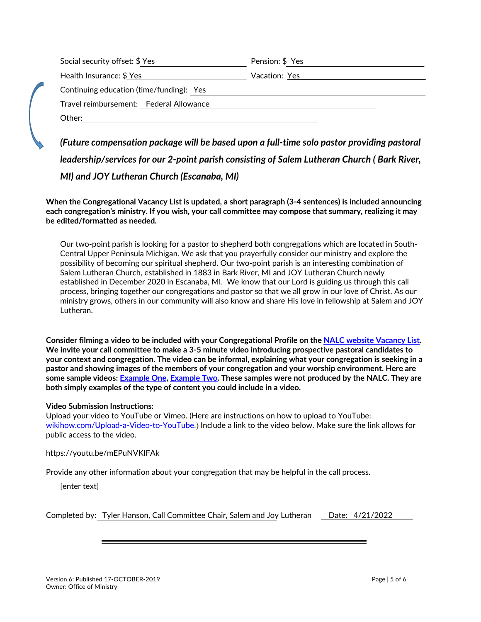| Social security offset: \$ Yes           | Pension: \$ Yes |
|------------------------------------------|-----------------|
| Health Insurance: \$ Yes                 | Vacation: Yes   |
| Continuing education (time/funding): Yes |                 |
| Travel reimbursement: Federal Allowance  |                 |
| Other:                                   |                 |

*(Future compensation package will be based upon a full-time solo pastor providing pastoral leadership/services for our 2-point parish consisting of Salem Lutheran Church ( Bark River, MI) and JOY Lutheran Church (Escanaba, MI)*

**When the Congregational Vacancy List is updated, a short paragraph (3-4 sentences) is included announcing each congregation's ministry. If you wish, your call committee may compose that summary, realizing it may be edited/formatted as needed.**

Our two-point parish is looking for a pastor to shepherd both congregations which are located in South-Central Upper Peninsula Michigan. We ask that you prayerfully consider our ministry and explore the possibility of becoming our spiritual shepherd. Our two-point parish is an interesting combination of Salem Lutheran Church, established in 1883 in Bark River, MI and JOY Lutheran Church newly established in December 2020 in Escanaba, MI. We know that our Lord is guiding us through this call process, bringing together our congregations and pastor so that we all grow in our love of Christ. As our ministry grows, others in our community will also know and share His love in fellowship at Salem and JOY Lutheran.

**Consider filming a video to be included with your Congregational Profile on the NALC website Vacancy List. We invite your call committee to make a 3-5 minute video introducing prospective pastoral candidates to your context and congregation. The video can be informal, explaining what your congregation is seeking in a pastor and showing images of the members of your congregation and your worship environment. Here are some sample videos: Example One, Example Two. These samples were not produced by the NALC. They are both simply examples of the type of content you could include in a video.**

# **Video Submission Instructions:**

Upload your video to YouTube or Vimeo. (Here are instructions on how to upload to YouTube: wikihow.com/Upload-a-Video-to-YouTube.) Include a link to the video below. Make sure the link allows for public access to the video.

https://youtu.be/mEPuNVKIFAk

Provide any other information about your congregation that may be helpful in the call process.

[enter text]

| Completed by: Tyler Hanson, Call Committee Chair, Salem and Joy Lutheran Date: 4/21/2022 |  |
|------------------------------------------------------------------------------------------|--|
|------------------------------------------------------------------------------------------|--|